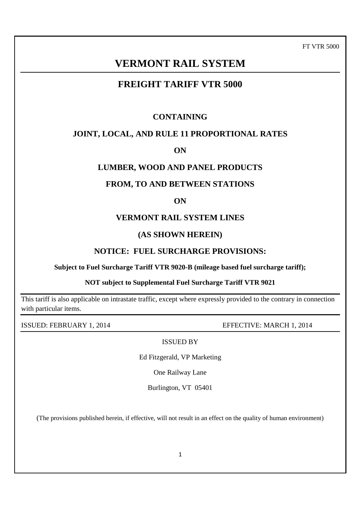FT VTR 5000

# **VERMONT RAIL SYSTEM**

# **FREIGHT TARIFF VTR 5000**

## **CONTAINING**

## **JOINT, LOCAL, AND RULE 11 PROPORTIONAL RATES**

**ON**

## **LUMBER, WOOD AND PANEL PRODUCTS**

## **FROM, TO AND BETWEEN STATIONS**

**ON**

## **VERMONT RAIL SYSTEM LINES**

## **(AS SHOWN HEREIN)**

## **NOTICE: FUEL SURCHARGE PROVISIONS:**

## **Subject to Fuel Surcharge Tariff VTR 9020-B (mileage based fuel surcharge tariff);**

## **NOT subject to Supplemental Fuel Surcharge Tariff VTR 9021**

This tariff is also applicable on intrastate traffic, except where expressly provided to the contrary in connection with particular items.

ISSUED: FEBRUARY 1, 2014 EFFECTIVE: MARCH 1, 2014

ISSUED BY

Ed Fitzgerald, VP Marketing

One Railway Lane

Burlington, VT 05401

(The provisions published herein, if effective, will not result in an effect on the quality of human environment)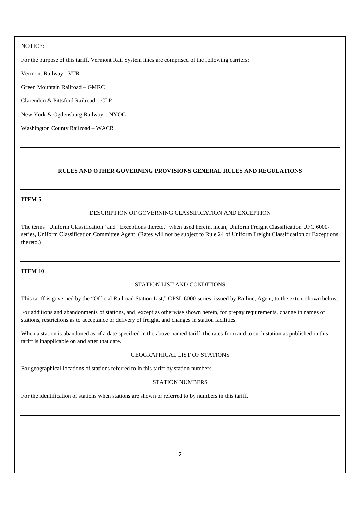#### NOTICE:

For the purpose of this tariff, Vermont Rail System lines are comprised of the following carriers:

Vermont Railway - VTR

Green Mountain Railroad – GMRC

Clarendon & Pittsford Railroad – CLP

New York & Ogdensburg Railway – NYOG

Washington County Railroad – WACR

## **RULES AND OTHER GOVERNING PROVISIONS GENERAL RULES AND REGULATIONS**

#### **ITEM 5**

#### DESCRIPTION OF GOVERNING CLASSIFICATION AND EXCEPTION

The terms "Uniform Classification" and "Exceptions thereto," when used herein, mean, Uniform Freight Classification UFC 6000 series, Uniform Classification Committee Agent. (Rates will not be subject to Rule 24 of Uniform Freight Classification or Exceptions thereto.)

#### **ITEM 10**

#### STATION LIST AND CONDITIONS

This tariff is governed by the "Official Railroad Station List," OPSL 6000-series, issued by Railinc, Agent, to the extent shown below:

For additions and abandonments of stations, and, except as otherwise shown herein, for prepay requirements, change in names of stations, restrictions as to acceptance or delivery of freight, and changes in station facilities.

When a station is abandoned as of a date specified in the above named tariff, the rates from and to such station as published in this tariff is inapplicable on and after that date.

#### GEOGRAPHICAL LIST OF STATIONS

For geographical locations of stations referred to in this tariff by station numbers.

## STATION NUMBERS

For the identification of stations when stations are shown or referred to by numbers in this tariff.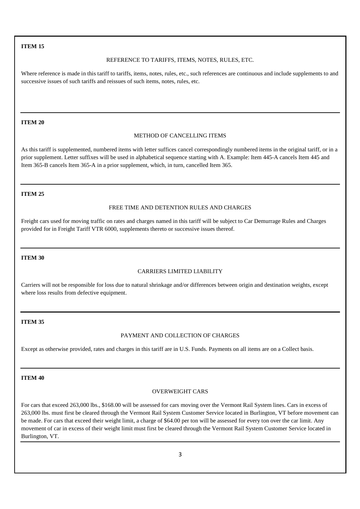## **ITEM 15**

#### REFERENCE TO TARIFFS, ITEMS, NOTES, RULES, ETC.

Where reference is made in this tariff to tariffs, items, notes, rules, etc., such references are continuous and include supplements to and successive issues of such tariffs and reissues of such items, notes, rules, etc.

#### **ITEM 20**

#### METHOD OF CANCELLING ITEMS

As this tariff is supplemented, numbered items with letter suffices cancel correspondingly numbered items in the original tariff, or in a prior supplement. Letter suffixes will be used in alphabetical sequence starting with A. Example: Item 445-A cancels Item 445 and Item 365-B cancels Item 365-A in a prior supplement, which, in turn, cancelled Item 365.

#### **ITEM 25**

#### FREE TIME AND DETENTION RULES AND CHARGES

Freight cars used for moving traffic on rates and charges named in this tariff will be subject to Car Demurrage Rules and Charges provided for in Freight Tariff VTR 6000, supplements thereto or successive issues thereof.

#### **ITEM 30**

#### CARRIERS LIMITED LIABILITY

Carriers will not be responsible for loss due to natural shrinkage and/or differences between origin and destination weights, except where loss results from defective equipment.

## **ITEM 35**

## PAYMENT AND COLLECTION OF CHARGES

Except as otherwise provided, rates and charges in this tariff are in U.S. Funds. Payments on all items are on a Collect basis.

#### **ITEM 40**

#### OVERWEIGHT CARS

For cars that exceed 263,000 lbs., \$168.00 will be assessed for cars moving over the Vermont Rail System lines. Cars in excess of 263,000 lbs. must first be cleared through the Vermont Rail System Customer Service located in Burlington, VT before movement can be made. For cars that exceed their weight limit, a charge of \$64.00 per ton will be assessed for every ton over the car limit. Any movement of car in excess of their weight limit must first be cleared through the Vermont Rail System Customer Service located in Burlington, VT.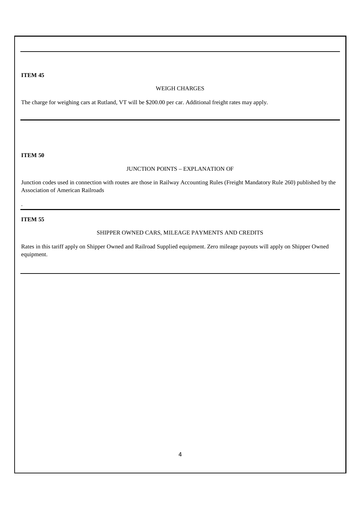### **ITEM 45**

#### WEIGH CHARGES

The charge for weighing cars at Rutland, VT will be \$200.00 per car. Additional freight rates may apply.

#### **ITEM 50**

## JUNCTION POINTS – EXPLANATION OF

Junction codes used in connection with routes are those in Railway Accounting Rules (Freight Mandatory Rule 260) published by the Association of American Railroads

## **ITEM 55**

.

## SHIPPER OWNED CARS, MILEAGE PAYMENTS AND CREDITS

Rates in this tariff apply on Shipper Owned and Railroad Supplied equipment. Zero mileage payouts will apply on Shipper Owned equipment.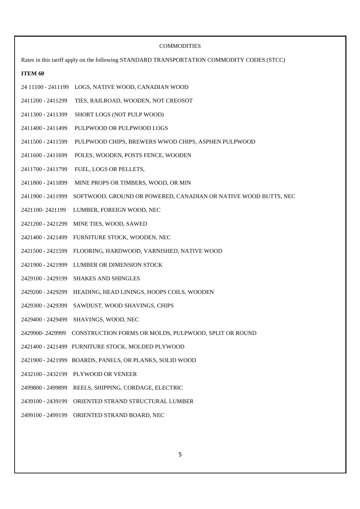|                   | <b>COMMODITIES</b>                                                                         |
|-------------------|--------------------------------------------------------------------------------------------|
|                   | Rates in this tariff apply on the following STANDARD TRANSPORTATION COMMODITY CODES (STCC) |
| ITEM 60           |                                                                                            |
|                   | 24 11100 - 2411199 LOGS, NATIVE WOOD, CANADIAN WOOD                                        |
| 2411200 - 2411299 | TIES, RAILROAD, WOODEN, NOT CREOSOT                                                        |
| 2411300 - 2411399 | SHORT LOGS (NOT PULP WOOD)                                                                 |
| 2411400 - 2411499 | PULPWOOD OR PULPWOOD LOGS                                                                  |
| 2411500 - 2411599 | PULPWOOD CHIPS, BREWERS WWOD CHIPS, ASPHEN PULPWOOD                                        |
| 2411600 - 2411699 | POLES, WOODEN, POSTS FENCE, WOODEN                                                         |
| 2411700 - 2411799 | FUEL, LOGS OR PELLETS,                                                                     |
| 2411800 - 2411899 | MINE PROPS OR TIMBERS, WOOD, OR MIN                                                        |
| 2411900 - 2411999 | SOFTWOOD, GROUND OR POWERED, CANADIAN OR NATIVE WOOD BUTTS, NEC                            |
| 2421100-2421199   | LUMBER, FOREIGN WOOD, NEC                                                                  |
|                   | 2421200 - 2421299 MINE TIES, WOOD, SAWED                                                   |
| 2421400 - 2421499 | FURNITURE STOCK, WOODEN, NEC                                                               |
| 2421500 - 2421599 | FLOORING, HARDWOOD, VARNISHED, NATIVE WOOD                                                 |
| 2421900 - 2421999 | LUMBER OR DIMENSION STOCK                                                                  |
| 2429100 - 2429199 | <b>SHAKES AND SHINGLES</b>                                                                 |
|                   | 2429200 - 2429299 HEADING, HEAD LININGS, HOOPS COILS, WOODEN                               |
| 2429300 - 2429399 | SAWDUST, WOOD SHAVINGS, CHIPS                                                              |
|                   | 2429400 - 2429499 SHAVINGS, WOOD, NEC                                                      |
|                   | 2429900-2429999 CONSTRUCTION FORMS OR MOLDS, PULPWOOD, SPLIT OR ROUND                      |
|                   | 2421400 - 2421499 FURNITURE STOCK, MOLDED PLYWOOD                                          |
|                   | 2421900 - 2421999 BOARDS, PANELS, OR PLANKS, SOLID WOOD                                    |
|                   | 2432100 - 2432199 PLYWOOD OR VENEER                                                        |
| 2499800 - 2499899 | REELS, SHIPPING, CORDAGE, ELECTRIC                                                         |
| 2439100 - 2439199 | ORIENTED STRAND STRUCTURAL LUMBER                                                          |
| 2499100 - 2499199 | ORIENTED STRAND BOARD, NEC                                                                 |
|                   |                                                                                            |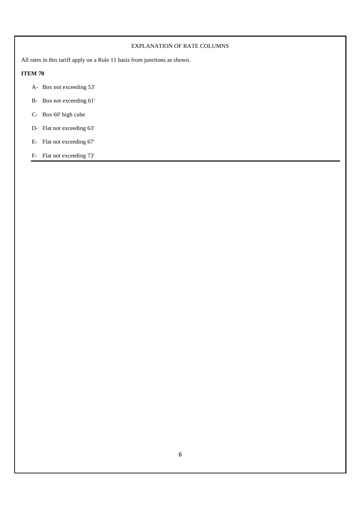## EXPLANATION OF RATE COLUMNS

All rates in this tariff apply on a Rule 11 basis from junctions as shown.

## **ITEM 70**

- A- Box not exceeding 53'
- B- Box not exceeding 61'
- C- Box 60' high cube
- D- Flat not exceeding 63'
- E- Flat not exceeding 67'
- F- Flat not exceeding 73'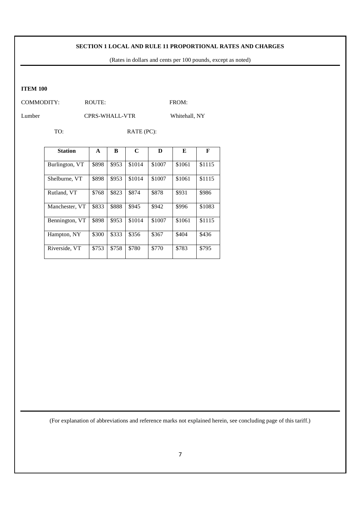(Rates in dollars and cents per 100 pounds, except as noted)

#### **ITEM 100**

COMMODITY: ROUTE: FROM:

Lumber CPRS-WHALL-VTR Whitehall, NY

TO: RATE (PC):

| <b>Station</b> | A     | B     | C      | D      | Е      | F      |
|----------------|-------|-------|--------|--------|--------|--------|
| Burlington, VT | \$898 | \$953 | \$1014 | \$1007 | \$1061 | \$1115 |
| Shelburne, VT  | \$898 | \$953 | \$1014 | \$1007 | \$1061 | \$1115 |
| Rutland, VT    | \$768 | \$823 | \$874  | \$878  | \$931  | \$986  |
| Manchester, VT | \$833 | \$888 | \$945  | \$942  | \$996  | \$1083 |
| Bennington, VT | \$898 | \$953 | \$1014 | \$1007 | \$1061 | \$1115 |
| Hampton, NY    | \$300 | \$333 | \$356  | \$367  | \$404  | \$436  |
| Riverside, VT  | \$753 | \$758 | \$780  | \$770  | \$783  | \$795  |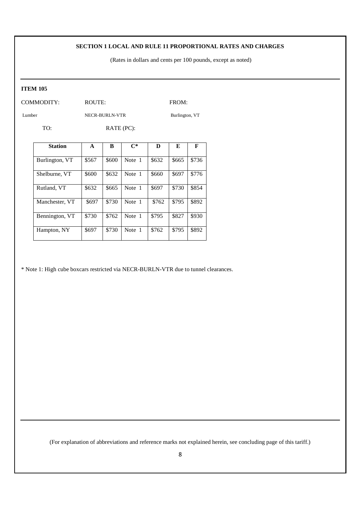(Rates in dollars and cents per 100 pounds, except as noted)

#### **ITEM 105**

COMMODITY: ROUTE: ROUTE: FROM:

Lumber NECR-BURLN-VTR Burlington, VT

TO: RATE (PC):

| <b>Station</b> | A     | B     | $\mathbf{C}^*$ | D     | E     | F     |
|----------------|-------|-------|----------------|-------|-------|-------|
| Burlington, VT | \$567 | \$600 | Note 1         | \$632 | \$665 | \$736 |
| Shelburne, VT  | \$600 | \$632 | Note 1         | \$660 | \$697 | \$776 |
| Rutland, VT    | \$632 | \$665 | Note 1         | \$697 | \$730 | \$854 |
| Manchester, VT | \$697 | \$730 | Note 1         | \$762 | \$795 | \$892 |
| Bennington, VT | \$730 | \$762 | Note 1         | \$795 | \$827 | \$930 |
| Hampton, NY    | \$697 | \$730 | Note 1         | \$762 | \$795 | \$892 |

\* Note 1: High cube boxcars restricted via NECR-BURLN-VTR due to tunnel clearances.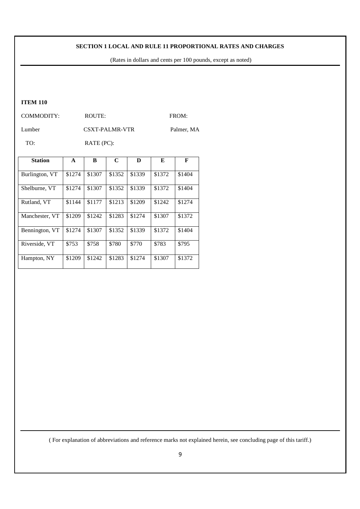(Rates in dollars and cents per 100 pounds, except as noted)

## **ITEM 110**

COMMODITY: ROUTE: FROM:

Lumber CSXT-PALMR-VTR Palmer, MA

TO: RATE (PC):

| <b>Station</b> | A      | B      | C      | D      | E      | F      |
|----------------|--------|--------|--------|--------|--------|--------|
| Burlington, VT | \$1274 | \$1307 | \$1352 | \$1339 | \$1372 | \$1404 |
| Shelburne, VT  | \$1274 | \$1307 | \$1352 | \$1339 | \$1372 | \$1404 |
| Rutland, VT    | \$1144 | \$1177 | \$1213 | \$1209 | \$1242 | \$1274 |
| Manchester, VT | \$1209 | \$1242 | \$1283 | \$1274 | \$1307 | \$1372 |
| Bennington, VT | \$1274 | \$1307 | \$1352 | \$1339 | \$1372 | \$1404 |
| Riverside, VT  | \$753  | \$758  | \$780  | \$770  | \$783  | \$795  |
| Hampton, NY    | \$1209 | \$1242 | \$1283 | \$1274 | \$1307 | \$1372 |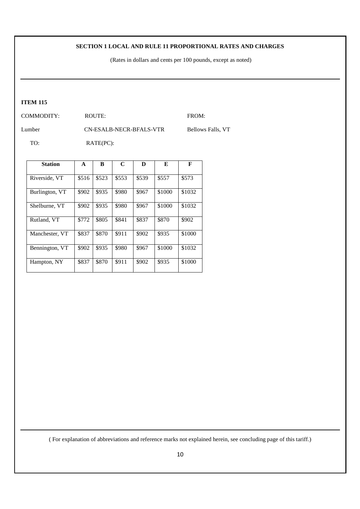(Rates in dollars and cents per 100 pounds, except as noted)

## **ITEM 115**

COMMODITY: ROUTE: ROUTE: FROM:

Lumber CN-ESALB-NECR-BFALS-VTR Bellows Falls, VT

TO: RATE(PC):

| <b>Station</b> | A     | B     | C     | D     | E      | F      |
|----------------|-------|-------|-------|-------|--------|--------|
| Riverside, VT  | \$516 | \$523 | \$553 | \$539 | \$557  | \$573  |
| Burlington, VT | \$902 | \$935 | \$980 | \$967 | \$1000 | \$1032 |
| Shelburne, VT  | \$902 | \$935 | \$980 | \$967 | \$1000 | \$1032 |
| Rutland, VT    | \$772 | \$805 | \$841 | \$837 | \$870  | \$902  |
| Manchester, VT | \$837 | \$870 | \$911 | \$902 | \$935  | \$1000 |
| Bennington, VT | \$902 | \$935 | \$980 | \$967 | \$1000 | \$1032 |
| Hampton, NY    | \$837 | \$870 | \$911 | \$902 | \$935  | \$1000 |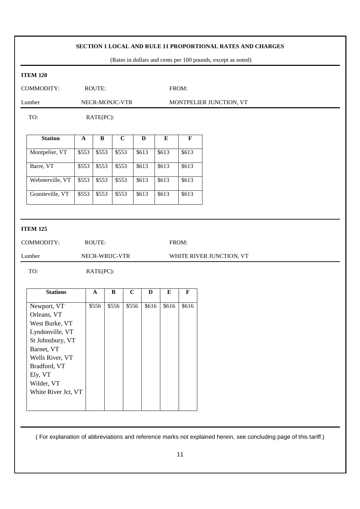(Rates in dollars and cents per 100 pounds, except as noted)

#### **ITEM 120**

COMMODITY: ROUTE: ROUTE: FROM:

Lumber NECR-MONJC-VTR MONTPELIER JUNCTION, VT

TO: RATE(PC):

| <b>Station</b>   | A     | в     | C     | D     | E     | F     |
|------------------|-------|-------|-------|-------|-------|-------|
| Montpelier, VT   | \$553 | \$553 | \$553 | \$613 | \$613 | \$613 |
| Barre, VT        | \$553 | \$553 | \$553 | \$613 | \$613 | \$613 |
| Websterville, VT | \$553 | \$553 | \$553 | \$613 | \$613 | \$613 |
| Graniteville, VT | \$553 | \$553 | \$553 | \$613 | \$613 | \$613 |

## **ITEM 125**

COMMODITY: ROUTE: FROM:

Lumber NECR-WRIJC-VTR WHITE RIVER JUNCTION, VT

TO: RATE(PC):

| <b>Stations</b>     | $\mathbf{A}$ | B     | C     | D     | E     | F     |
|---------------------|--------------|-------|-------|-------|-------|-------|
|                     |              |       | \$556 | \$616 | \$616 | \$616 |
| Newport, VT         | \$556        | \$556 |       |       |       |       |
| Orleans, VT         |              |       |       |       |       |       |
| West Burke, VT      |              |       |       |       |       |       |
| Lyndonville, VT     |              |       |       |       |       |       |
| St Johnsbury, VT    |              |       |       |       |       |       |
| Barnet, VT          |              |       |       |       |       |       |
| Wells River, VT     |              |       |       |       |       |       |
| Bradford, VT        |              |       |       |       |       |       |
| Ely, VT             |              |       |       |       |       |       |
| Wilder, VT          |              |       |       |       |       |       |
| White River Jct, VT |              |       |       |       |       |       |
|                     |              |       |       |       |       |       |
|                     |              |       |       |       |       |       |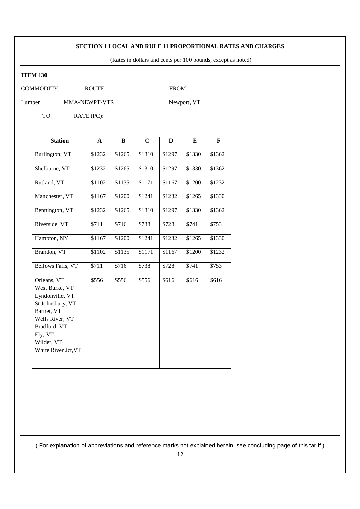(Rates in dollars and cents per 100 pounds, except as noted)

## **ITEM 130**

COMMODITY: ROUTE: FROM:

Lumber MMA-NEWPT-VTR Newport, VT

TO: RATE (PC):

| <b>Station</b>                                                                                                                                                        | A      | B      | C      | D      | E      | F      |
|-----------------------------------------------------------------------------------------------------------------------------------------------------------------------|--------|--------|--------|--------|--------|--------|
| Burlington, VT                                                                                                                                                        | \$1232 | \$1265 | \$1310 | \$1297 | \$1330 | \$1362 |
| Shelburne, VT                                                                                                                                                         | \$1232 | \$1265 | \$1310 | \$1297 | \$1330 | \$1362 |
| Rutland, VT                                                                                                                                                           | \$1102 | \$1135 | \$1171 | \$1167 | \$1200 | \$1232 |
| Manchester, VT                                                                                                                                                        | \$1167 | \$1200 | \$1241 | \$1232 | \$1265 | \$1330 |
| Bennington, VT                                                                                                                                                        | \$1232 | \$1265 | \$1310 | \$1297 | \$1330 | \$1362 |
| Riverside, VT                                                                                                                                                         | \$711  | \$716  | \$738  | \$728  | \$741  | \$753  |
| Hampton, NY                                                                                                                                                           | \$1167 | \$1200 | \$1241 | \$1232 | \$1265 | \$1330 |
| Brandon, VT                                                                                                                                                           | \$1102 | \$1135 | \$1171 | \$1167 | \$1200 | \$1232 |
| Bellows Falls, VT                                                                                                                                                     | \$711  | \$716  | \$738  | \$728  | \$741  | \$753  |
| Orleans, VT<br>West Burke, VT<br>Lyndonville, VT<br>St Johnsbury, VT<br>Barnet, VT<br>Wells River, VT<br>Bradford, VT<br>Ely, VT<br>Wilder, VT<br>White River Jct, VT | \$556  | \$556  | \$556  | \$616  | \$616  | \$616  |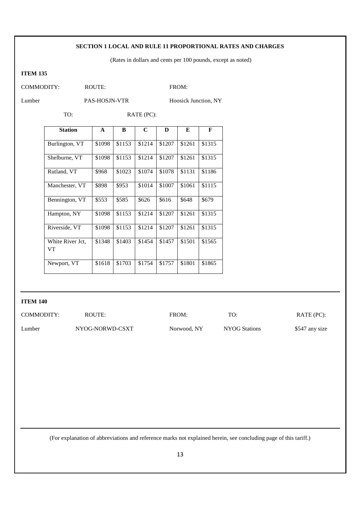## (Rates in dollars and cents per 100 pounds, except as noted)

## **ITEM 135**

COMMODITY: ROUTE: FROM:

Lumber PAS-HOSJN-VTR Hoosick Junction, NY

TO: RATE (PC):

| <b>Station</b>         | A      | R      | C      | D      | E      | F      |
|------------------------|--------|--------|--------|--------|--------|--------|
| Burlington, VT         | \$1098 | \$1153 | \$1214 | \$1207 | \$1261 | \$1315 |
| Shelburne, VT          | \$1098 | \$1153 | \$1214 | \$1207 | \$1261 | \$1315 |
| Rutland, VT            | \$968  | \$1023 | \$1074 | \$1078 | \$1131 | \$1186 |
| Manchester, VT         | \$898  | \$953  | \$1014 | \$1007 | \$1061 | \$1115 |
| Bennington, VT         | \$553  | \$585  | \$626  | \$616  | \$648  | \$679  |
| Hampton, NY            | \$1098 | \$1153 | \$1214 | \$1207 | \$1261 | \$1315 |
| Riverside, VT          | \$1098 | \$1153 | \$1214 | \$1207 | \$1261 | \$1315 |
| White River Jct.<br>VT | \$1348 | \$1403 | \$1454 | \$1457 | \$1501 | \$1565 |
| Newport, VT            | \$1618 | \$1703 | \$1754 | \$1757 | \$1801 | \$1865 |

## **ITEM 140**

| COMMODITY: | ROUTE:          | FROM:       | TO:           | RATE (PC):     |
|------------|-----------------|-------------|---------------|----------------|
| Lumber     | NYOG-NORWD-CSXT | Norwood, NY | NYOG Stations | \$547 any size |